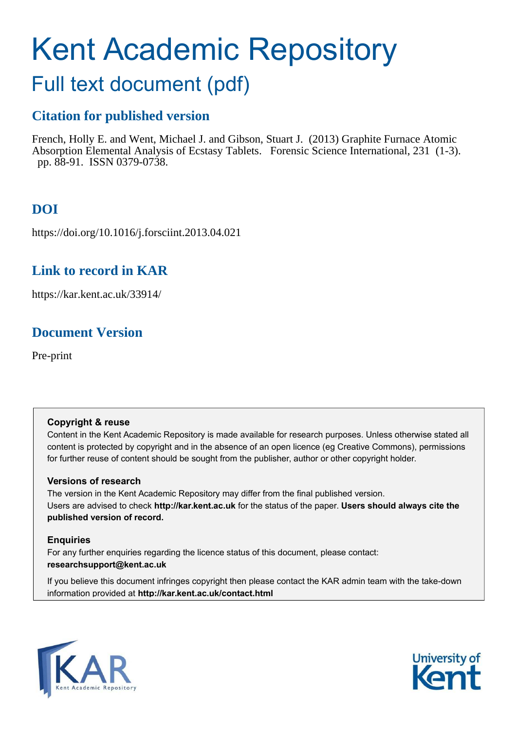# Kent Academic Repository

## Full text document (pdf)

## **Citation for published version**

French, Holly E. and Went, Michael J. and Gibson, Stuart J. (2013) Graphite Furnace Atomic Absorption Elemental Analysis of Ecstasy Tablets. Forensic Science International, 231 (1-3). pp. 88-91. ISSN 0379-0738.

## **DOI**

https://doi.org/10.1016/j.forsciint.2013.04.021

## **Link to record in KAR**

https://kar.kent.ac.uk/33914/

## **Document Version**

Pre-print

#### **Copyright & reuse**

Content in the Kent Academic Repository is made available for research purposes. Unless otherwise stated all content is protected by copyright and in the absence of an open licence (eg Creative Commons), permissions for further reuse of content should be sought from the publisher, author or other copyright holder.

#### **Versions of research**

The version in the Kent Academic Repository may differ from the final published version. Users are advised to check **http://kar.kent.ac.uk** for the status of the paper. **Users should always cite the published version of record.**

#### **Enquiries**

For any further enquiries regarding the licence status of this document, please contact: **researchsupport@kent.ac.uk**

If you believe this document infringes copyright then please contact the KAR admin team with the take-down information provided at **http://kar.kent.ac.uk/contact.html**



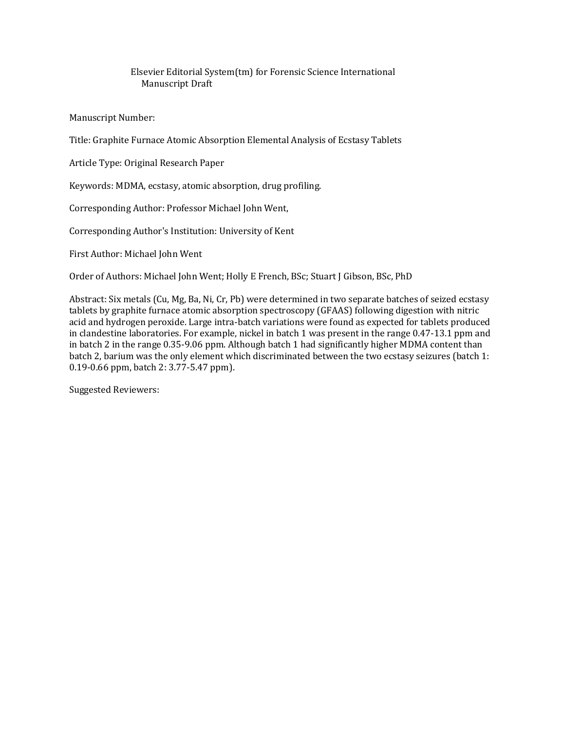#### Elsevier Editorial System(tm) for Forensic Science International Manuscript Draft

Manuscript Number:

Title: Graphite Furnace Atomic Absorption Elemental Analysis of Ecstasy Tablets

Article Type: Original Research Paper

Keywords: MDMA, ecstasy, atomic absorption, drug profiling.

Corresponding Author: Professor Michael John Went,

Corresponding Author's Institution: University of Kent

First Author: Michael John Went

Order of Authors: Michael John Went; Holly E French, BSc; Stuart J Gibson, BSc, PhD

Abstract: Six metals (Cu, Mg, Ba, Ni, Cr, Pb) were determined in two separate batches of seized ecstasy tablets by graphite furnace atomic absorption spectroscopy (GFAAS) following digestion with nitric acid and hydrogen peroxide. Large intra-batch variations were found as expected for tablets produced in clandestine laboratories. For example, nickel in batch 1 was present in the range 0.47-13.1 ppm and in batch 2 in the range 0.35-9.06 ppm. Although batch 1 had significantly higher MDMA content than batch 2, barium was the only element which discriminated between the two ecstasy seizures (batch 1: 0.19-0.66 ppm, batch 2: 3.77-5.47 ppm).

Suggested Reviewers: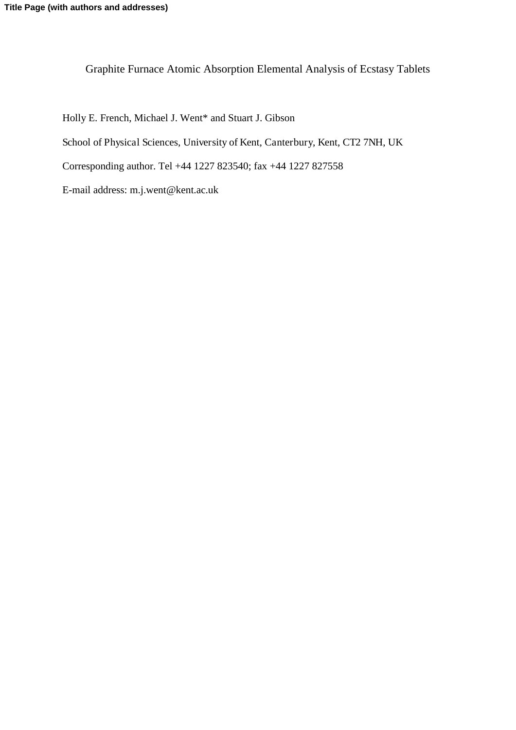Graphite Furnace Atomic Absorption Elemental Analysis of Ecstasy Tablets

Holly E. French, Michael J. Went\* and Stuart J. Gibson School of Physical Sciences, University of Kent, Canterbury, Kent, CT2 7NH, UK Corresponding author. Tel +44 1227 823540; fax +44 1227 827558

E-mail address: m.j.went@kent.ac.uk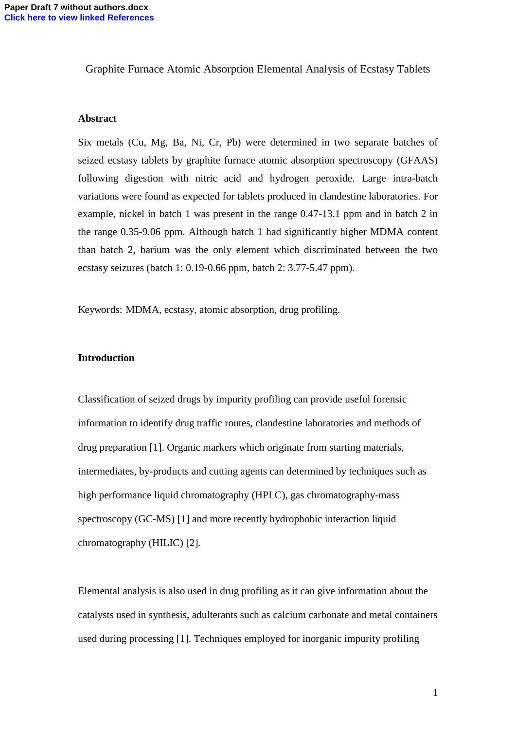Graphite Furnace Atomic Absorption Elemental Analysis of Ecstasy Tablets

#### **Abstract**

Six metals (Cu, Mg, Ba, Ni, Cr, Pb) were determined in two separate batches of seized ecstasy tablets by graphite furnace atomic absorption spectroscopy (GFAAS) following digestion with nitric acid and hydrogen peroxide. Large intra-batch variations were found as expected for tablets produced in clandestine laboratories. For example, nickel in batch 1 was present in the range 0.47-13.1 ppm and in batch 2 in the range 0.35-9.06 ppm. Although batch 1 had significantly higher MDMA content than batch 2, barium was the only element which discriminated between the two ecstasy seizures (batch 1: 0.19-0.66 ppm, batch 2: 3.77-5.47 ppm).

Keywords: MDMA, ecstasy, atomic absorption, drug profiling.

#### **Introduction**

Classification of seized drugs by impurity profiling can provide useful forensic information to identify drug traffic routes, clandestine laboratories and methods of drug preparation [1]. Organic markers which originate from starting materials, intermediates, by-products and cutting agents can determined by techniques such as high performance liquid chromatography (HPLC), gas chromatography-mass spectroscopy (GC-MS) [1] and more recently hydrophobic interaction liquid chromatography (HILIC) [2].

Elemental analysis is also used in drug profiling as it can give information about the catalysts used in synthesis, adulterants such as calcium carbonate and metal containers used during processing [1]. Techniques employed for inorganic impurity profiling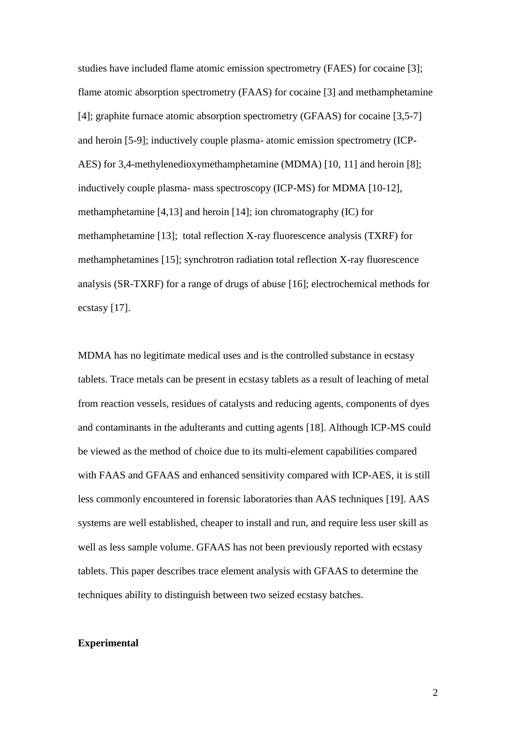studies have included flame atomic emission spectrometry (FAES) for cocaine [3]; flame atomic absorption spectrometry (FAAS) for cocaine [3] and methamphetamine [4]; graphite furnace atomic absorption spectrometry (GFAAS) for cocaine [3,5-7] and heroin [5-9]; inductively couple plasma- atomic emission spectrometry (ICP-AES) for 3,4-methylenedioxymethamphetamine (MDMA) [10, 11] and heroin [8]; inductively couple plasma- mass spectroscopy (ICP-MS) for MDMA [10-12], methamphetamine [4,13] and heroin [14]; ion chromatography (IC) for methamphetamine [13]; total reflection X-ray fluorescence analysis (TXRF) for methamphetamines [15]; synchrotron radiation total reflection X-ray fluorescence analysis (SR-TXRF) for a range of drugs of abuse [16]; electrochemical methods for ecstasy [17].

MDMA has no legitimate medical uses and is the controlled substance in ecstasy tablets. Trace metals can be present in ecstasy tablets as a result of leaching of metal from reaction vessels, residues of catalysts and reducing agents, components of dyes and contaminants in the adulterants and cutting agents [18]. Although ICP-MS could be viewed as the method of choice due to its multi-element capabilities compared with FAAS and GFAAS and enhanced sensitivity compared with ICP-AES, it is still less commonly encountered in forensic laboratories than AAS techniques [19]. AAS systems are well established, cheaper to install and run, and require less user skill as well as less sample volume. GFAAS has not been previously reported with ecstasy tablets. This paper describes trace element analysis with GFAAS to determine the techniques ability to distinguish between two seized ecstasy batches.

#### **Experimental**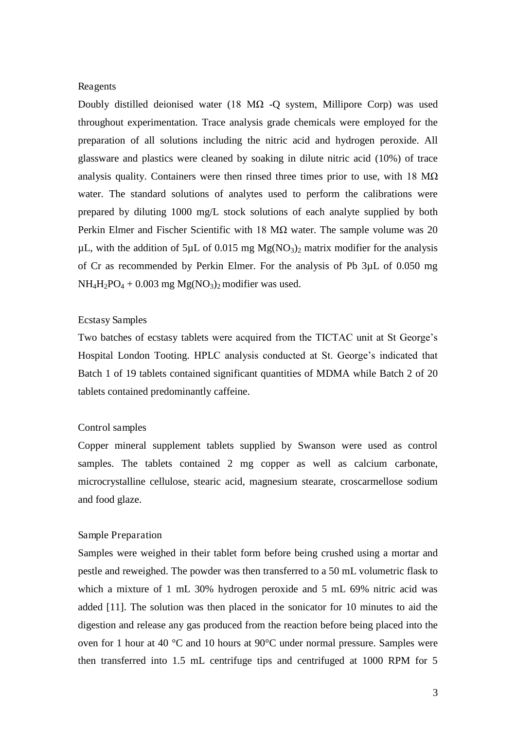#### Reagents

Doubly distilled deionised water (18 M $\Omega$  -Q system, Millipore Corp) was used throughout experimentation. Trace analysis grade chemicals were employed for the preparation of all solutions including the nitric acid and hydrogen peroxide. All glassware and plastics were cleaned by soaking in dilute nitric acid (10%) of trace analysis quality. Containers were then rinsed three times prior to use, with 18  $M\Omega$ water. The standard solutions of analytes used to perform the calibrations were prepared by diluting 1000 mg/L stock solutions of each analyte supplied by both Perkin Elmer and Fischer Scientific with 18 M $\Omega$  water. The sample volume was 20  $\mu$ L, with the addition of 5 $\mu$ L of 0.015 mg Mg(NO<sub>3</sub>)<sub>2</sub> matrix modifier for the analysis of Cr as recommended by Perkin Elmer. For the analysis of Pb 3µL of 0.050 mg  $NH_4H_2PO_4 + 0.003$  mg  $Mg(NO_3)_2$  modifier was used.

#### Ecstasy Samples

Two batches of ecstasy tablets were acquired from the TICTAC unit at St George's Hospital London Tooting. HPLC analysis conducted at St. George's indicated that Batch 1 of 19 tablets contained significant quantities of MDMA while Batch 2 of 20 tablets contained predominantly caffeine.

#### Control samples

Copper mineral supplement tablets supplied by Swanson were used as control samples. The tablets contained 2 mg copper as well as calcium carbonate, microcrystalline cellulose, stearic acid, magnesium stearate, croscarmellose sodium and food glaze.

#### Sample Preparation

Samples were weighed in their tablet form before being crushed using a mortar and pestle and reweighed. The powder was then transferred to a 50 mL volumetric flask to which a mixture of 1 mL 30% hydrogen peroxide and 5 mL 69% nitric acid was added [11]. The solution was then placed in the sonicator for 10 minutes to aid the digestion and release any gas produced from the reaction before being placed into the oven for 1 hour at 40 °C and 10 hours at 90°C under normal pressure. Samples were then transferred into 1.5 mL centrifuge tips and centrifuged at 1000 RPM for 5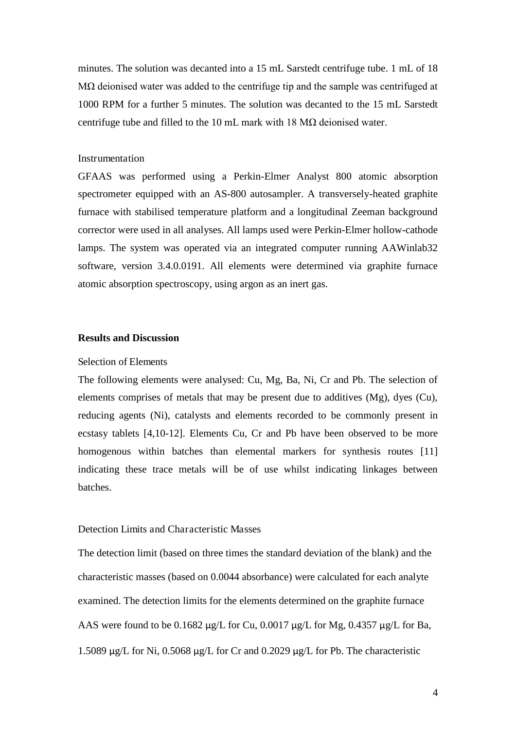minutes. The solution was decanted into a 15 mL Sarstedt centrifuge tube. 1 mL of 18  $M\Omega$  deionised water was added to the centrifuge tip and the sample was centrifuged at 1000 RPM for a further 5 minutes. The solution was decanted to the 15 mL Sarstedt centrifuge tube and filled to the 10 mL mark with 18  $M\Omega$  deionised water.

#### **Instrumentation**

GFAAS was performed using a Perkin-Elmer Analyst 800 atomic absorption spectrometer equipped with an AS-800 autosampler. A transversely-heated graphite furnace with stabilised temperature platform and a longitudinal Zeeman background corrector were used in all analyses. All lamps used were Perkin-Elmer hollow-cathode lamps. The system was operated via an integrated computer running AAWinlab32 software, version 3.4.0.0191. All elements were determined via graphite furnace atomic absorption spectroscopy, using argon as an inert gas.

#### **Results and Discussion**

#### Selection of Elements

The following elements were analysed: Cu, Mg, Ba, Ni, Cr and Pb. The selection of elements comprises of metals that may be present due to additives (Mg), dyes (Cu), reducing agents (Ni), catalysts and elements recorded to be commonly present in ecstasy tablets [4,10-12]. Elements Cu, Cr and Pb have been observed to be more homogenous within batches than elemental markers for synthesis routes [11] indicating these trace metals will be of use whilst indicating linkages between batches.

#### Detection Limits and Characteristic Masses

The detection limit (based on three times the standard deviation of the blank) and the characteristic masses (based on 0.0044 absorbance) were calculated for each analyte examined. The detection limits for the elements determined on the graphite furnace AAS were found to be  $0.1682 \mu g/L$  for Cu,  $0.0017 \mu g/L$  for Mg,  $0.4357 \mu g/L$  for Ba, 1.5089 µg/L for Ni, 0.5068 µg/L for Cr and 0.2029 µg/L for Pb. The characteristic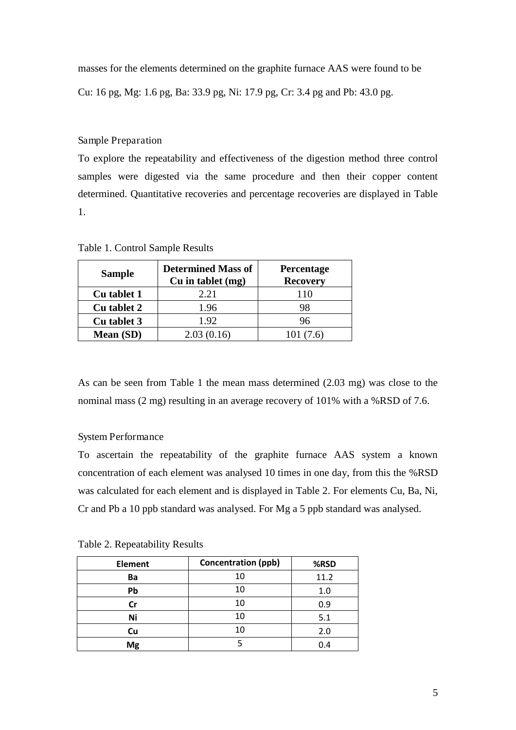masses for the elements determined on the graphite furnace AAS were found to be

Cu: 16 pg, Mg: 1.6 pg, Ba: 33.9 pg, Ni: 17.9 pg, Cr: 3.4 pg and Pb: 43.0 pg.

Sample Preparation

To explore the repeatability and effectiveness of the digestion method three control samples were digested via the same procedure and then their copper content determined. Quantitative recoveries and percentage recoveries are displayed in Table 1.

| <b>Sample</b> | <b>Determined Mass of</b><br>$Cu$ in tablet $(mg)$ | Percentage<br><b>Recovery</b> |  |  |  |  |
|---------------|----------------------------------------------------|-------------------------------|--|--|--|--|
| Cu tablet 1   | 2.21                                               | 110                           |  |  |  |  |
| Cu tablet 2   | 1.96                                               | 98                            |  |  |  |  |
| Cu tablet 3   | 1.92                                               | 96                            |  |  |  |  |
| Mean (SD)     | 2.03(0.16)                                         | 101 (7.6)                     |  |  |  |  |

Table 1. Control Sample Results

As can be seen from Table 1 the mean mass determined (2.03 mg) was close to the nominal mass (2 mg) resulting in an average recovery of 101% with a %RSD of 7.6.

#### System Performance

To ascertain the repeatability of the graphite furnace AAS system a known concentration of each element was analysed 10 times in one day, from this the %RSD was calculated for each element and is displayed in Table 2. For elements Cu, Ba, Ni, Cr and Pb a 10 ppb standard was analysed. For Mg a 5 ppb standard was analysed.

| <b>Element</b> | <b>Concentration (ppb)</b> | %RSD |
|----------------|----------------------------|------|
| Ba             | 10                         | 11.2 |
| Pb             | 10                         | 1.0  |
| Cr             | 10                         | 0.9  |
| Ni             | 10                         | 5.1  |
| Cu             | 10                         | 2.0  |
| Mg             |                            | 0.4  |

Table 2. Repeatability Results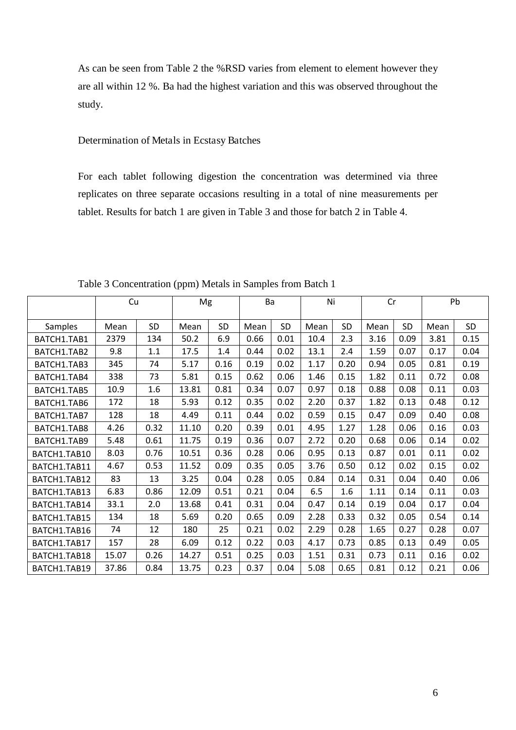As can be seen from Table 2 the %RSD varies from element to element however they are all within 12 %. Ba had the highest variation and this was observed throughout the study.

#### Determination of Metals in Ecstasy Batches

For each tablet following digestion the concentration was determined via three replicates on three separate occasions resulting in a total of nine measurements per tablet. Results for batch 1 are given in Table 3 and those for batch 2 in Table 4.

|              | Cu    |      | Mg    |      | Ba   |           | Ni   |      | Cr   |           | Pb   |      |
|--------------|-------|------|-------|------|------|-----------|------|------|------|-----------|------|------|
| Samples      | Mean  | SD   | Mean  | SD   | Mean | <b>SD</b> | Mean | SD   | Mean | <b>SD</b> | Mean | SD   |
| BATCH1.TAB1  | 2379  | 134  | 50.2  | 6.9  | 0.66 | 0.01      | 10.4 | 2.3  | 3.16 | 0.09      | 3.81 | 0.15 |
| BATCH1.TAB2  | 9.8   | 1.1  | 17.5  | 1.4  | 0.44 | 0.02      | 13.1 | 2.4  | 1.59 | 0.07      | 0.17 | 0.04 |
| BATCH1.TAB3  | 345   | 74   | 5.17  | 0.16 | 0.19 | 0.02      | 1.17 | 0.20 | 0.94 | 0.05      | 0.81 | 0.19 |
| BATCH1.TAB4  | 338   | 73   | 5.81  | 0.15 | 0.62 | 0.06      | 1.46 | 0.15 | 1.82 | 0.11      | 0.72 | 0.08 |
| BATCH1.TAB5  | 10.9  | 1.6  | 13.81 | 0.81 | 0.34 | 0.07      | 0.97 | 0.18 | 0.88 | 0.08      | 0.11 | 0.03 |
| BATCH1.TAB6  | 172   | 18   | 5.93  | 0.12 | 0.35 | 0.02      | 2.20 | 0.37 | 1.82 | 0.13      | 0.48 | 0.12 |
| BATCH1.TAB7  | 128   | 18   | 4.49  | 0.11 | 0.44 | 0.02      | 0.59 | 0.15 | 0.47 | 0.09      | 0.40 | 0.08 |
| BATCH1.TAB8  | 4.26  | 0.32 | 11.10 | 0.20 | 0.39 | 0.01      | 4.95 | 1.27 | 1.28 | 0.06      | 0.16 | 0.03 |
| BATCH1.TAB9  | 5.48  | 0.61 | 11.75 | 0.19 | 0.36 | 0.07      | 2.72 | 0.20 | 0.68 | 0.06      | 0.14 | 0.02 |
| BATCH1.TAB10 | 8.03  | 0.76 | 10.51 | 0.36 | 0.28 | 0.06      | 0.95 | 0.13 | 0.87 | 0.01      | 0.11 | 0.02 |
| BATCH1.TAB11 | 4.67  | 0.53 | 11.52 | 0.09 | 0.35 | 0.05      | 3.76 | 0.50 | 0.12 | 0.02      | 0.15 | 0.02 |
| BATCH1.TAB12 | 83    | 13   | 3.25  | 0.04 | 0.28 | 0.05      | 0.84 | 0.14 | 0.31 | 0.04      | 0.40 | 0.06 |
| BATCH1.TAB13 | 6.83  | 0.86 | 12.09 | 0.51 | 0.21 | 0.04      | 6.5  | 1.6  | 1.11 | 0.14      | 0.11 | 0.03 |
| BATCH1.TAB14 | 33.1  | 2.0  | 13.68 | 0.41 | 0.31 | 0.04      | 0.47 | 0.14 | 0.19 | 0.04      | 0.17 | 0.04 |
| BATCH1.TAB15 | 134   | 18   | 5.69  | 0.20 | 0.65 | 0.09      | 2.28 | 0.33 | 0.32 | 0.05      | 0.54 | 0.14 |
| BATCH1.TAB16 | 74    | 12   | 180   | 25   | 0.21 | 0.02      | 2.29 | 0.28 | 1.65 | 0.27      | 0.28 | 0.07 |
| BATCH1.TAB17 | 157   | 28   | 6.09  | 0.12 | 0.22 | 0.03      | 4.17 | 0.73 | 0.85 | 0.13      | 0.49 | 0.05 |
| BATCH1.TAB18 | 15.07 | 0.26 | 14.27 | 0.51 | 0.25 | 0.03      | 1.51 | 0.31 | 0.73 | 0.11      | 0.16 | 0.02 |
| BATCH1.TAB19 | 37.86 | 0.84 | 13.75 | 0.23 | 0.37 | 0.04      | 5.08 | 0.65 | 0.81 | 0.12      | 0.21 | 0.06 |

Table 3 Concentration (ppm) Metals in Samples from Batch 1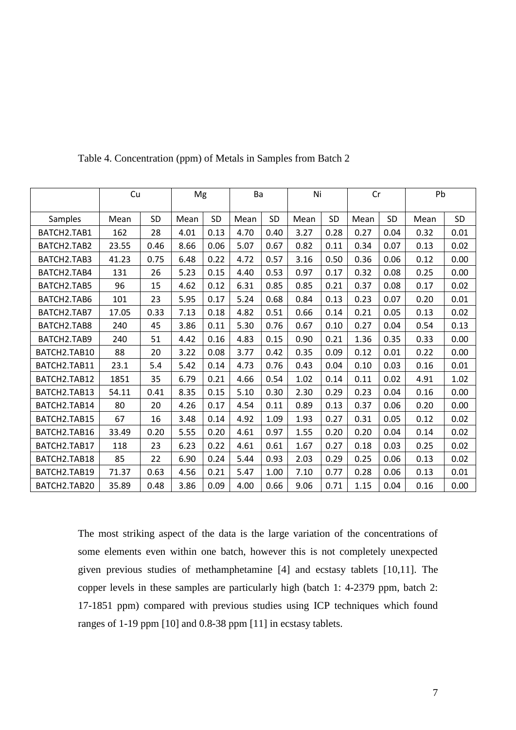|              | Cu    |           | Mg   |           | Ba   |           | Ni   |           | Cr   |           | Pb   |      |
|--------------|-------|-----------|------|-----------|------|-----------|------|-----------|------|-----------|------|------|
| Samples      | Mean  | <b>SD</b> | Mean | <b>SD</b> | Mean | <b>SD</b> | Mean | <b>SD</b> | Mean | <b>SD</b> | Mean | SD   |
| BATCH2.TAB1  | 162   | 28        | 4.01 | 0.13      | 4.70 | 0.40      | 3.27 | 0.28      | 0.27 | 0.04      | 0.32 | 0.01 |
| BATCH2.TAB2  | 23.55 | 0.46      | 8.66 | 0.06      | 5.07 | 0.67      | 0.82 | 0.11      | 0.34 | 0.07      | 0.13 | 0.02 |
| BATCH2.TAB3  | 41.23 | 0.75      | 6.48 | 0.22      | 4.72 | 0.57      | 3.16 | 0.50      | 0.36 | 0.06      | 0.12 | 0.00 |
| BATCH2.TAB4  | 131   | 26        | 5.23 | 0.15      | 4.40 | 0.53      | 0.97 | 0.17      | 0.32 | 0.08      | 0.25 | 0.00 |
| BATCH2.TAB5  | 96    | 15        | 4.62 | 0.12      | 6.31 | 0.85      | 0.85 | 0.21      | 0.37 | 0.08      | 0.17 | 0.02 |
| BATCH2.TAB6  | 101   | 23        | 5.95 | 0.17      | 5.24 | 0.68      | 0.84 | 0.13      | 0.23 | 0.07      | 0.20 | 0.01 |
| BATCH2.TAB7  | 17.05 | 0.33      | 7.13 | 0.18      | 4.82 | 0.51      | 0.66 | 0.14      | 0.21 | 0.05      | 0.13 | 0.02 |
| BATCH2.TAB8  | 240   | 45        | 3.86 | 0.11      | 5.30 | 0.76      | 0.67 | 0.10      | 0.27 | 0.04      | 0.54 | 0.13 |
| BATCH2.TAB9  | 240   | 51        | 4.42 | 0.16      | 4.83 | 0.15      | 0.90 | 0.21      | 1.36 | 0.35      | 0.33 | 0.00 |
| BATCH2.TAB10 | 88    | 20        | 3.22 | 0.08      | 3.77 | 0.42      | 0.35 | 0.09      | 0.12 | 0.01      | 0.22 | 0.00 |
| BATCH2.TAB11 | 23.1  | 5.4       | 5.42 | 0.14      | 4.73 | 0.76      | 0.43 | 0.04      | 0.10 | 0.03      | 0.16 | 0.01 |
| BATCH2.TAB12 | 1851  | 35        | 6.79 | 0.21      | 4.66 | 0.54      | 1.02 | 0.14      | 0.11 | 0.02      | 4.91 | 1.02 |
| BATCH2.TAB13 | 54.11 | 0.41      | 8.35 | 0.15      | 5.10 | 0.30      | 2.30 | 0.29      | 0.23 | 0.04      | 0.16 | 0.00 |
| BATCH2.TAB14 | 80    | 20        | 4.26 | 0.17      | 4.54 | 0.11      | 0.89 | 0.13      | 0.37 | 0.06      | 0.20 | 0.00 |
| BATCH2.TAB15 | 67    | 16        | 3.48 | 0.14      | 4.92 | 1.09      | 1.93 | 0.27      | 0.31 | 0.05      | 0.12 | 0.02 |
| BATCH2.TAB16 | 33.49 | 0.20      | 5.55 | 0.20      | 4.61 | 0.97      | 1.55 | 0.20      | 0.20 | 0.04      | 0.14 | 0.02 |
| BATCH2.TAB17 | 118   | 23        | 6.23 | 0.22      | 4.61 | 0.61      | 1.67 | 0.27      | 0.18 | 0.03      | 0.25 | 0.02 |
| BATCH2.TAB18 | 85    | 22        | 6.90 | 0.24      | 5.44 | 0.93      | 2.03 | 0.29      | 0.25 | 0.06      | 0.13 | 0.02 |
| BATCH2.TAB19 | 71.37 | 0.63      | 4.56 | 0.21      | 5.47 | 1.00      | 7.10 | 0.77      | 0.28 | 0.06      | 0.13 | 0.01 |
| BATCH2.TAB20 | 35.89 | 0.48      | 3.86 | 0.09      | 4.00 | 0.66      | 9.06 | 0.71      | 1.15 | 0.04      | 0.16 | 0.00 |

Table 4. Concentration (ppm) of Metals in Samples from Batch 2

The most striking aspect of the data is the large variation of the concentrations of some elements even within one batch, however this is not completely unexpected given previous studies of methamphetamine [4] and ecstasy tablets [10,11]. The copper levels in these samples are particularly high (batch 1: 4-2379 ppm, batch 2: 17-1851 ppm) compared with previous studies using ICP techniques which found ranges of 1-19 ppm [10] and 0.8-38 ppm [11] in ecstasy tablets.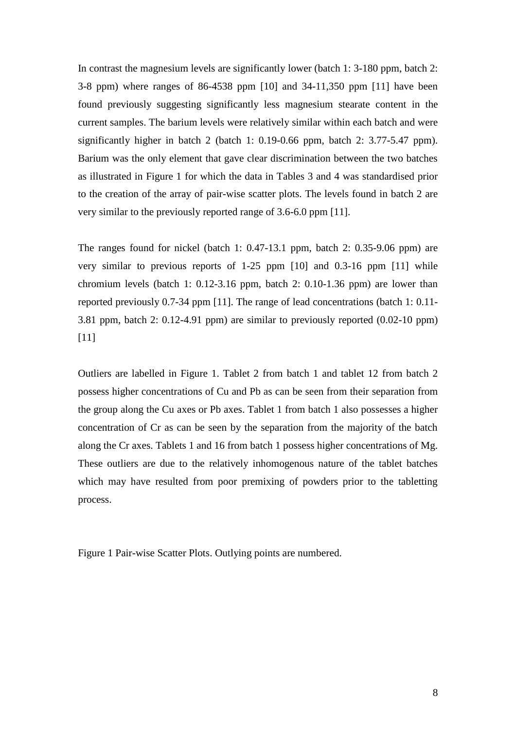In contrast the magnesium levels are significantly lower (batch 1: 3-180 ppm, batch 2: 3-8 ppm) where ranges of 86-4538 ppm [10] and 34-11,350 ppm [11] have been found previously suggesting significantly less magnesium stearate content in the current samples. The barium levels were relatively similar within each batch and were significantly higher in batch 2 (batch 1: 0.19-0.66 ppm, batch 2: 3.77-5.47 ppm). Barium was the only element that gave clear discrimination between the two batches as illustrated in Figure 1 for which the data in Tables 3 and 4 was standardised prior to the creation of the array of pair-wise scatter plots. The levels found in batch 2 are very similar to the previously reported range of 3.6-6.0 ppm [11].

The ranges found for nickel (batch 1: 0.47-13.1 ppm, batch 2: 0.35-9.06 ppm) are very similar to previous reports of 1-25 ppm [10] and 0.3-16 ppm [11] while chromium levels (batch 1: 0.12-3.16 ppm, batch 2: 0.10-1.36 ppm) are lower than reported previously 0.7-34 ppm [11]. The range of lead concentrations (batch 1: 0.11- 3.81 ppm, batch 2: 0.12-4.91 ppm) are similar to previously reported (0.02-10 ppm) [11]

Outliers are labelled in Figure 1. Tablet 2 from batch 1 and tablet 12 from batch 2 possess higher concentrations of Cu and Pb as can be seen from their separation from the group along the Cu axes or Pb axes. Tablet 1 from batch 1 also possesses a higher concentration of Cr as can be seen by the separation from the majority of the batch along the Cr axes. Tablets 1 and 16 from batch 1 possess higher concentrations of Mg. These outliers are due to the relatively inhomogenous nature of the tablet batches which may have resulted from poor premixing of powders prior to the tabletting process.

Figure 1 Pair-wise Scatter Plots. Outlying points are numbered.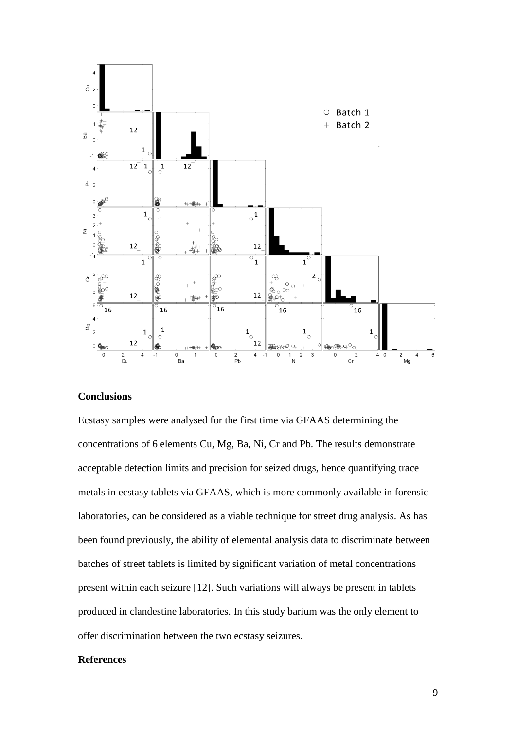

#### **Conclusions**

Ecstasy samples were analysed for the first time via GFAAS determining the concentrations of 6 elements Cu, Mg, Ba, Ni, Cr and Pb. The results demonstrate acceptable detection limits and precision for seized drugs, hence quantifying trace metals in ecstasy tablets via GFAAS, which is more commonly available in forensic laboratories, can be considered as a viable technique for street drug analysis. As has been found previously, the ability of elemental analysis data to discriminate between batches of street tablets is limited by significant variation of metal concentrations present within each seizure [12]. Such variations will always be present in tablets produced in clandestine laboratories. In this study barium was the only element to offer discrimination between the two ecstasy seizures.

#### **References**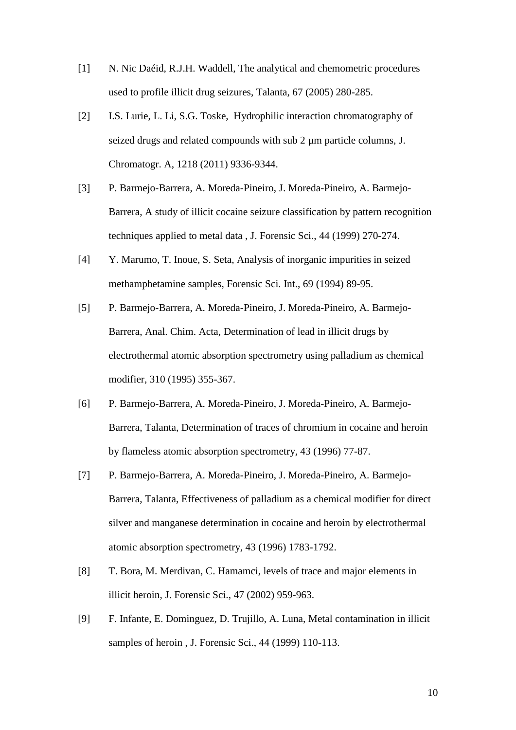- [1] N. Nic Daéid, R.J.H. Waddell, The analytical and chemometric procedures used to profile illicit drug seizures, Talanta, 67 (2005) 280-285.
- [2] I.S. Lurie, L. Li, S.G. Toske, Hydrophilic interaction chromatography of seized drugs and related compounds with sub 2 µm particle columns, J. Chromatogr. A, 1218 (2011) 9336-9344.
- [3] P. Barmejo-Barrera, A. Moreda-Pineiro, J. Moreda-Pineiro, A. Barmejo-Barrera, A study of illicit cocaine seizure classification by pattern recognition techniques applied to metal data , J. Forensic Sci., 44 (1999) 270-274.
- [4] Y. Marumo, T. Inoue, S. Seta, Analysis of inorganic impurities in seized methamphetamine samples, Forensic Sci. Int., 69 (1994) 89-95.
- [5] P. Barmejo-Barrera, A. Moreda-Pineiro, J. Moreda-Pineiro, A. Barmejo-Barrera, Anal. Chim. Acta, Determination of lead in illicit drugs by electrothermal atomic absorption spectrometry using palladium as chemical modifier, 310 (1995) 355-367.
- [6] P. Barmejo-Barrera, A. Moreda-Pineiro, J. Moreda-Pineiro, A. Barmejo-Barrera, Talanta, Determination of traces of chromium in cocaine and heroin by flameless atomic absorption spectrometry, 43 (1996) 77-87.
- [7] P. Barmejo-Barrera, A. Moreda-Pineiro, J. Moreda-Pineiro, A. Barmejo-Barrera, Talanta, Effectiveness of palladium as a chemical modifier for direct silver and manganese determination in cocaine and heroin by electrothermal atomic absorption spectrometry, 43 (1996) 1783-1792.
- [8] T. Bora, M. Merdivan, C. Hamamci, levels of trace and major elements in illicit heroin, J. Forensic Sci., 47 (2002) 959-963.
- [9] F. Infante, E. Dominguez, D. Trujillo, A. Luna, Metal contamination in illicit samples of heroin , J. Forensic Sci., 44 (1999) 110-113.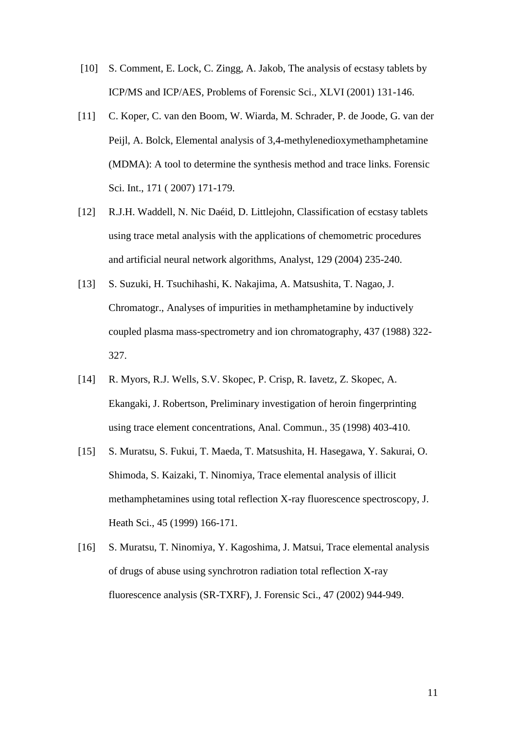- [10] S. Comment, E. Lock, C. Zingg, A. Jakob, The analysis of ecstasy tablets by ICP/MS and ICP/AES, Problems of Forensic Sci., XLVI (2001) 131-146.
- [11] C. Koper, C. van den Boom, W. Wiarda, M. Schrader, P. de Joode, G. van der Peijl, A. Bolck, Elemental analysis of 3,4-methylenedioxymethamphetamine (MDMA): A tool to determine the synthesis method and trace links. Forensic Sci. Int., 171 ( 2007) 171-179.
- [12] R.J.H. Waddell, N. Nic Daéid, D. Littlejohn, Classification of ecstasy tablets using trace metal analysis with the applications of chemometric procedures and artificial neural network algorithms, Analyst, 129 (2004) 235-240.
- [13] S. Suzuki, H. Tsuchihashi, K. Nakajima, A. Matsushita, T. Nagao, J. Chromatogr., Analyses of impurities in methamphetamine by inductively coupled plasma mass-spectrometry and ion chromatography, 437 (1988) 322- 327.
- [14] R. Myors, R.J. Wells, S.V. Skopec, P. Crisp, R. Iavetz, Z. Skopec, A. Ekangaki, J. Robertson, Preliminary investigation of heroin fingerprinting using trace element concentrations, Anal. Commun., 35 (1998) 403-410.
- [15] S. Muratsu, S. Fukui, T. Maeda, T. Matsushita, H. Hasegawa, Y. Sakurai, O. Shimoda, S. Kaizaki, T. Ninomiya, Trace elemental analysis of illicit methamphetamines using total reflection X-ray fluorescence spectroscopy, J. Heath Sci., 45 (1999) 166-171.
- [16] S. Muratsu, T. Ninomiya, Y. Kagoshima, J. Matsui, Trace elemental analysis of drugs of abuse using synchrotron radiation total reflection X-ray fluorescence analysis (SR-TXRF), J. Forensic Sci., 47 (2002) 944-949.